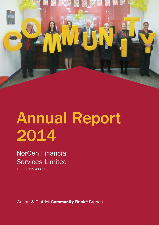

# Annual Report 2014

NorCen Financial Services Limited

ABN 32 119 493 113

Wallan & District Community Bank® Branch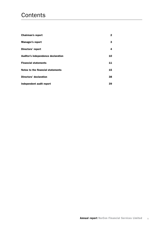## **Contents**

| <b>Chairman's report</b>           | 2  |
|------------------------------------|----|
| <b>Manager's report</b>            | 3  |
| Directors' report                  | 4  |
| Auditor's independence declaration | 10 |
| <b>Financial statements</b>        | 11 |
| Notes to the financial statements  | 15 |
| Directors' declaration             | 38 |
| Independent audit report           | 39 |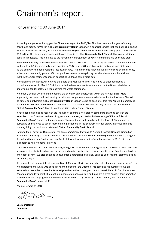## Chairman's report

## For year ending 30 June 2014

It is with great pleasure I bring you the Chairman's report for 2013/14. This has been another year of strong growth and activity for Wallan & District Community Bank® Branch, in a financial climate that has been challenging for most institutions. Wallan, for the fourth consecutive year, exceeded all expectations having growth in excess of \$30 million. This is a phenomenal statistic and there is no other **Community Bank®** branch that can lay claim to being in this league. This is all due to the remarkable management of Kevin Hannam and his dedicated staff.

Because of this very profitable financial year, we donated over \$437,000 to 71 organisations. The total donations to the Mitchell Shire community since opening in 2007, is over \$1.2 million, which makes us incredibly proud, as the company has been operating just seven years. This money has made a huge difference to so many clubs, schools and community groups. With our profit we were able to again pay our shareholders another dividend, thanking them for their confidence in supporting us those seven years ago.

We welcomed another new Director to the Board this year, Kit Holland, who joined us after completing a probationary period, in March 2014. I am thrilled to have another female member on the Board, which helps improve our gender balance in representing the whole community.

We proudly employ 10 local staff, boosting the economy and employment within the Mitchell Shire. More importantly, we have continued training, so all staff can perform many varied roles within the business. This will be timely as our Kilmore & District Community Bank® Branch is due to open later this year. We will be employing a number of new staff to service both branches as some existing Wallan staff may move to the new Kilmore & District Community Bank® Branch, located at 75a Sydney Street, Kilmore.

It has been a challenging year with the logistics of opening a new branch being quite daunting but with the expertise of our Directors, we have ploughed on and are very excited with the opening of Kilmore & District **Community Bank**® Branch, in the near future. This new branch will be a boon to the town of Kilmore and its surrounds and we hope to assist many more organisations in the Southern Mitchell area with profits from this branch joining the profits from Wallan & District Community Bank® Branch.

I wish to thank my fellow Directors for the time commitment they give to NorCen Financial Services Limited as volunteers, especially this year opening a new branch. We are the envy of **Community Bank®** branches throughout Australia with our ever-growing success. We look forward to many exciting new happenings in 2015, with our expansion to Kilmore being imminent.

I also wish to thank our Company Secretary, Georgie Davie for her outstanding ability to make us all look good and keep us on the straight and narrow. Her work and assistance has been a great benefit to the Board, shareholders and especially me. We also continue to have strong partnerships with key Bendigo Bank regional staff that assist us in many ways.

All this could not be possible without our Branch Manager, Kevin Hannam, who holds the entire enterprise together. We sincerely thank Kevin, who goes above and beyond for the Directors, his staff and his customers. We are extremely appreciative to have his knowledge and expertise running our very successful branch. Our thanks also goes to our wonderful staff who meet our customers' needs so well, and also are a great asset in their promotion of the branch and helping with the community work we do. They always go "above and beyond" their roles as Community Bank® branch staff.

We look forward to 2015.

Mastaelle

Sue Marstaeller Chairman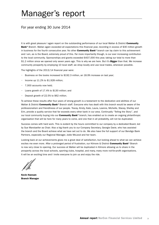## Manager's report

## For year ending 30 June 2014

It is with great pleasure I again report on the outstanding performance of our local Wallan & District Community Bank<sup>®</sup> Branch. Wallan again exceeded all expectations this financial year, recording in excess of \$30 million growth in business for the fourth consecutive year. No other **Community Bank®** branch can lay claim to this achievement and I am, as is the Board, extremely proud of this. Far more importantly though, is our ever increasing contribution to the local community. Sponsorships and grants exceeded \$437,000 this year, taking our total to more than \$1.2 million since we opened only seven years ago. This is why we are here. But it's Bigger than that. We increase community prosperity by employing 10 local staff, we shop locally and use local trades, whenever possible.

The highlights of the 2013/14 financial year were:

- Business on the books increased to \$192.3 million, an 18.9% increase on last year;
- Income up  $11.2%$  to  $$1.928$  million:
- 7,000 accounts now held;
- • Loans growth of 17.4% to \$130 million; and
- Deposit growth of 22.5% to \$62 million.

To achieve these results after four years of strong growth is a testament to the dedication and abilities of our Wallan & District Community Bank® Branch staff. Everyone who has dealt with this branch would be aware of the professionalism and friendliness of our people. Tracey, Kirsty, Kate, Laura, Leanne, Michelle, Stacey, Shelley and Erin, provide a quality service that far exceeds every other bank in our area. Continually "Telling the Story", and our local community buying into our *Community Bank®* branch, has enabled us to create an ongoing philanthropic organisation that will be here for many years to come, and one that in all probability, will not be duplicated.

Success comes with hard work. This is evident by the hours committed to our company by a dedicated Board, led by Sue Marstaeller as Chair. Also a big thank-you to our Company Secretary, Georgie Davie, who has assisted the branch and the Board achieve what we have set out to do. We also have the full support of our Bendigo Bank Partners, especially our Regional Manager, Jodie McLeod and her team.

Looking back at our achievements gives me a great deal of satisfaction, but looking ahead to what we can achieve excites me even more. After a prolonged period of frustration, our Kilmore & District Community Bank® Branch is now very close to opening. Our success at Wallan will be duplicated in Kilmore allowing us to share in the prosperity across the local schools, sporting clubs, hospital, and many, many more not-for-profit organisations. It will be an exciting time and I invite everyone to join us and enjoy the ride.

Kevin Hannam Branch Manager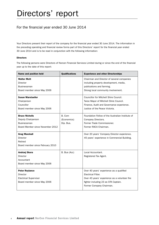## For the financial year ended 30 June 2014

Your Directors present their report of the company for the financial year ended 30 June 2014. The information in the preceding operating and financial review forms part of this Directors' report for the financial year ended 30 June 2014 and is to be read in conjunction with the following information:

#### **Directors**

The following persons were Directors of Norcen Financial Services Limited during or since the end of the financial year up to the date of this report:

| Name and position held                                                                                                                               | <b>Qualifications</b>              | <b>Experience and other Directorships</b>                                                                                                                                                                                    |
|------------------------------------------------------------------------------------------------------------------------------------------------------|------------------------------------|------------------------------------------------------------------------------------------------------------------------------------------------------------------------------------------------------------------------------|
| <b>Walter Mott</b><br>Director<br>Businessman<br>Board member since May 2006                                                                         |                                    | Chairman and Director of several companies<br>including property development, media,<br>publications and farming.<br>Strong local community involvement.                                                                     |
| <b>Susan Marstaeller</b><br>Chairperson<br>Councillor<br>Board member since May 2006                                                                 |                                    | Councillor for Mitchell Shire Council.<br>Twice Mayor of Mitchell Shire Council.<br>Finance, Audit and Governance experience.<br>Justice of the Peace Victoria.                                                              |
| <b>Bruce Nicholls</b><br>Deputy Chairperson<br><b>Businessman</b><br>Board Member since November 2012<br><b>Greg Marshall</b><br>Director<br>Retired | B. Com<br>(Economics)<br>Dip. Bus. | Foundation Fellow of the Australian Institute of<br>Company Directors.<br>Former Trade Commissioner.<br>Former RACA Chairman.<br>Over 20 years' Company Director experience.<br>45 years' experience in Commercial Building. |
| Board member since February 2010<br>Andrzej Skora<br><b>Director</b><br>Accountant<br>Board member since May 2006                                    | B. Bus (Acc)                       | Local Accountant.<br>Registered Tax Agent.                                                                                                                                                                                   |
| <b>Peter Roylance</b><br>Director<br><b>Electrical Supervisor</b><br>Board member since May 2006                                                     |                                    | Over 40 years' experience as a qualified<br><b>Electrical Fitter.</b><br>Over 43 years' experience as a volunteer fire<br>fighter including 23 as CFA Captain.<br>Former Company Chairman.                                   |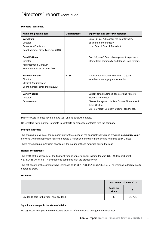#### Directors (continued)

| Name and position held           | <b>Qualifications</b> | <b>Experience and other Directorships</b>       |
|----------------------------------|-----------------------|-------------------------------------------------|
| <b>David Ford</b>                |                       | Senior OH&S Advisor for the past 6 years,       |
| Director                         |                       | 15 years in the industry.                       |
| Senior OH&S Advisor              |                       | Local School Council President.                 |
| Board Member since February 2013 |                       |                                                 |
| <b>David Pettman</b>             |                       | Over 10 years' Quarry Management experience.    |
| Director                         |                       | Strong local community and Council involvement. |
| <b>Administration Manager</b>    |                       |                                                 |
| Board member since June 2011     |                       |                                                 |
| <b>Kathleen Holland</b>          | B. Sc                 | Medical Administrator with over 10 years'       |
| Director                         |                       | experience managing a private clinic.           |
| <b>Medical Administrator</b>     |                       |                                                 |
| Board member since March 2014    |                       |                                                 |
|                                  |                       |                                                 |
| <b>David Wheeler</b>             |                       | Current small business operator and Kilmore     |
| Director                         |                       | Steering Committee.                             |
| <b>Businessman</b>               |                       | Diverse background in Real Estate, Finance and  |
|                                  |                       | Retail Sectors.                                 |
|                                  |                       | Over 15 years' Company Director experience.     |
|                                  |                       |                                                 |

Directors were in office for this entire year unless otherwise stated.

No Directors have material interests in contracts or proposed contracts with the company.

#### Principal activities

The principal activities of the company during the course of the financial year were in providing Community Bank® services under management rights to operate a franchised branch of Bendigo and Adelaide Bank Limited.

There have been no significant changes in the nature of these activities during the year.

#### Review of operations

The profit of the company for the financial year after provision for income tax was \$327,000 (2013 profit: \$374,943), which is a 7% decrease as compared with the previous year.

The net assets of the company have increased to \$1,381,758 (2013: \$1,136,459). The increase is largely due to operating profit.

#### Dividends

|                                              | Year ended 30 June 2014   |        |
|----------------------------------------------|---------------------------|--------|
|                                              | <b>Cents per</b><br>share |        |
| Dividends paid in the year - final dividend: | 5                         | 81,701 |

#### Significant changes in the state of affairs

No significant changes in the company's state of affairs occurred during the financial year.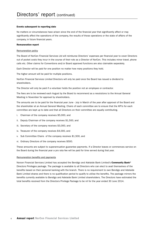#### Events subsequent to reporting date

No matters or circumstances have arisen since the end of the financial year that significantly affect or may significantly affect the operations of the company, the results of those operations or the state of affairs of the company, in future financial years.

#### Remuneration report

#### Remuneration policy

The Board of NorCen Financial Services Ltd will reimburse Directors' expenses per financial year to cover Directors out of pocket costs they incur in the course of their role as a Director of NorCen. This includes minor travel, phone calls etc. Other claims for Conventions and/or Board approved functions are also claimable separately.

Each Director will be paid for one position no matter how many positions they hold.

The higher amount will be paid for multiple positions.

NorCen Financial Services Limited Directors will only be paid once the Board has issued a dividend to shareholders.

The Director will only be paid if a volunteer holds the position not an employee or contractor.

The fees are to be reviewed each August by the Board to recommend as a resolutions to the Annual General Meeting in November for approval by shareholders.

The amounts are to be paid for the financial year June - July in March of the year after approval of the Board and the shareholder at an Annual General Meeting. Chairs of each committee are to ensure that the KPI's for each committee are kept up to date and that all Directors on their committee are equally contributing.

- i. Chairman of the company receives \$5,000, and
- ii. Deputy Chairman of the company receives \$1,500, and
- iii. Secretary of the company receives \$3,000, and
- iv. Treasurer of the company receives \$4,000, and
- v. Sub Committee Chairs of the company receives \$1,500, and
- vi. Ordinary Directors of the company receives \$500.

These amounts are subject to superannuation guarantee payments. If a Director leaves or commences service on the Board during the financial year a pro rata fee will be paid for time served during that year.

#### Remuneration benefits and payments

Norcen Financial Services Limited has accepted the Bendigo and Adelaide Bank Limited's Community Bank<sup>®</sup> Directors Privileges package. The package is available to all Directors who can elect to avail themselves of the benefits based on their personal banking with the branch. There is no requirement to own Bendigo and Adelaide Bank Limited shares and there is no qualification period to qualify to utilise the benefits. The package mirrors the benefits currently available to Bendigo and Adelaide Bank Limited shareholders. The Directors have estimated the total benefits received from the Directors Privilege Package to be nil for the year ended 30 June 2014.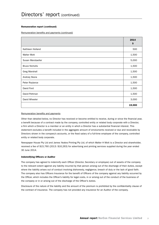#### Remuneration report (continued)

Remuneration benefits and payments (continued)

|                       | 2014<br>\$ |
|-----------------------|------------|
| Kathleen Holland      | 500        |
| <b>Walter Mott</b>    | 1,500      |
| Susan Marstaeller     | 5,000      |
| <b>Bruce Nicholls</b> | 1,500      |
| <b>Greg Marshall</b>  | 1,500      |
| Andrzej Skora         | 1,500      |
| Peter Roylance        | 1,500      |
| David Ford            | 1,500      |
| David Pettman         | 1,500      |
| David Wheeler         | 3,000      |
|                       | 19,000     |

#### Remuneration benefits and payments

Other than detailed below, no Director has received or become entitled to receive, during or since the financial year, a benefit because of a contract made by the company, controlled entity or related body corporate with a Director, a firm which a Director is a member or an entity in which a Director has a substantial financial interest. This statement excludes a benefit included in the aggregate amount of emoluments received or due and receivable by Directors shown in the company's accounts, or the fixed salary of a full-time employee of the company, controlled entity or related body corporate.

Newspaper House Pty Ltd and James Yeates Printing Pty Ltd, of which Walter H Mott is a Director and shareholder, received a fee of \$15,760 (2013: \$16,263) for advertising and printing services supplied during the year ended 30 June 2014.

#### Indemnifying Officers or Auditor

The company has agreed to indemnify each Officer (Director, Secretary or employee) out of assets of the company to the relevant extent against any liability incurred by that person arising out of the discharge of their duties, except where the liability arises out of conduct involving dishonesty, negligence, breach of duty or the lack of good faith. The company also has Officers Insurance for the benefit of Officers of the company against any liability occurred by the Officer, which includes the Officer's liability for legal costs, in or arising out of the conduct of the business of the company or in or arising out of the discharge of the Officer's duties.

Disclosure of the nature of the liability and the amount of the premium is prohibited by the confidentiality clause of the contract of insurance. The company has not provided any insurance for an Auditor of the company.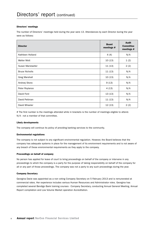#### Directors' meetings

The number of Directors' meetings held during the year were 13. Attendances by each Director during the year were as follows:

| <b>Director</b>       | <b>Board</b><br>meetings # | <b>Audit</b><br><b>Committee</b><br>meetings # |
|-----------------------|----------------------------|------------------------------------------------|
| Kathleen Holland      | 4(4)                       | N/A                                            |
| <b>Walter Mott</b>    | 10(13)                     | 1(2)                                           |
| Susan Marstaeller     | 11(13)                     | 2(2)                                           |
| <b>Bruce Nicholls</b> | 11(13)                     | N/A                                            |
| <b>Greg Marshall</b>  | 10(13)                     | N/A                                            |
| Andrzej Skora         | 9(13)                      | N/A                                            |
| Peter Roylance        | 4(13)                      | N/A                                            |
| David Ford            | 13(13)                     | N/A                                            |
| David Pettman         | 11(13)                     | N/A                                            |
| David Wheeler         | 12(13)                     | 2(2)                                           |

# The first number is the meetings attended while in brackets is the number of meetings eligible to attend. N/A - not a member of that committee.

#### Likely developments

The company will continue its policy of providing banking services to the community.

#### Environmental regulations

The company is not subject to any significant environmental regulation. However, the Board believes that the company has adequate systems in place for the management of its environment requirements and is not aware of any breach of these environmental requirements as they apply to the company.

#### Proceedings on behalf of company

No person has applied for leave of court to bring proceedings on behalf of the company or intervene in any proceedings to which the company is a party for the purpose of taking responsibility on behalf of the company for all or any part of those proceedings. The company was not a party to any such proceedings during the year.

#### Company Secretary

Georgina Davie was appointed as a non voting Company Secretary on 5 February 2013 and is remunerated at commercial rates. Her experience includes various Human Resources and Administrator roles. Georgina has completed several Bendigo Bank training courses - Company Secretary, conducting Annual General Meeting, Annual Report compilation and Low Volume Market operation Accreditation.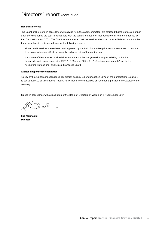#### Non audit services

The Board of Directors, in accordance with advice from the audit committee, are satisfied that the provision of non audit services during the year is compatible with the general standard of independence for Auditors imposed by the Corporations Act 2001. The Directors are satisfied that the services disclosed in Note 5 did not compromise the external Auditor's independence for the following reasons:

- • all non audit services are reviewed and approved by the Audit Committee prior to commencement to ensure they do not adversely affect the integrity and objectivity of the Auditor; and
- • the nature of the services provided does not compromise the general principles relating to Auditor independence in accordance with APES 110 "Code of Ethics for Professional Accountants" set by the Accounting Professional and Ethical Standards Board.

#### Auditor independence declaration

A copy of the Auditor's independence declaration as required under section 307C of the Corporations Act 2001 is set at page 10 of this financial report. No Officer of the company is or has been a partner of the Auditor of the company.

Signed in accordance with a resolution of the Board of Directors at Wallan on 17 September 2014.

Mastaelle

Sue Marstaeller Director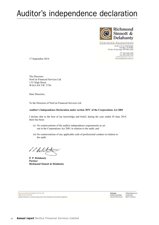## Auditor's independence declaration



Chartered Accountants Level 2, 10-16 Forest Street Bendigo, VICTORIA<br>PO Box 30, Bendigo VICTORIA 3552

> Ph: (03) 5445 4200<br>Fax: (03) 5444 4344<br>rsd@rsdadvisors.com.au www.rsdadvisors.com.au

17 September 2014

The Directors NorCen Financial Services Ltd 1/51 High Street WALLAN VIC 3756

Dear Directors,

To the Directors of NorCen Financial Services Ltd

#### **Auditor's Independence Declaration under section 307C of the Corporations Act 2001**

I declare that to the best of my knowledge and belief, during the year ended 30 June 2014 there has been:

- (i) No contraventions of the auditor independence requirements as set out in the Corporations Act 2001 in relation to the audit; and
- (ii) No contraventions of any applicable code of professional conduct in relation to the audit.

1. P. Debot

**P. P. Delahunty Partner Richmond Sinnott & Delahunty**

Richmond Sinnott Delahunty Pty Ltd. ABN 60 616 244 309 Liability limited by a scheme approved under Professional Standards Legislation Philip Delahunty **Brett Andrews**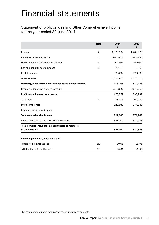## Statement of profit or loss and Other Comprehensive Income for the year ended 30 June 2014

|                                                             | <b>Note</b>    | 2014<br>\$ | 2013<br>\$ |
|-------------------------------------------------------------|----------------|------------|------------|
| Revenue                                                     | $\overline{2}$ | 1,929,604  | 1,733,823  |
| Employee benefits expense                                   | 3              | (672, 833) | (541, 958) |
| Depreciation and amortisation expense                       | 3              | (17, 239)  | (16,989)   |
| Bad and doubtful debts expense                              | 3              | (1, 187)   | (733)      |
| Rental expense                                              |                | (69, 638)  | (50,000)   |
| Other expenses                                              |                | (255, 542) | (251, 700) |
| Operating profit before charitable donations & sponsorships |                | 913,165    | 872,443    |
| Charitable donations and sponsorships                       |                | (437, 388) | (335, 454) |
| Profit before income tax expense                            |                | 475,777    | 536,989    |
| Tax expense                                                 | 4              | 148,777    | 162,046    |
| <b>Profit for the year</b>                                  |                | 327,000    | 374,943    |
| Other comprehensive income                                  |                |            |            |
| <b>Total comprehensive income</b>                           |                | 327,000    | 374,943    |
| Profit attributable to members of the company               |                | 327,000    | 374,943    |
| Total comprehensive income attributable to members          |                |            |            |
| of the company                                              |                | 327,000    | 374,943    |
| Earnings per share (cents per share)                        |                |            |            |
| - basic for profit for the year                             | 20             | 20.01      | 22.95      |
| - diluted for profit for the year                           | 20             | 20.01      | 22.95      |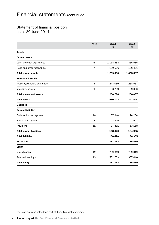## Statement of financial position as at 30 June 2014

|                                  | <b>Note</b>    | 2014<br>\$ | 2013<br>\$ |
|----------------------------------|----------------|------------|------------|
| <b>Assets</b>                    |                |            |            |
| <b>Current assets</b>            |                |            |            |
| Cash and cash equivalents        | 6              | 1,118,854  | 886,966    |
| Trade and other receivables      | $\overline{7}$ | 180,526    | 166,421    |
| <b>Total current assets</b>      |                | 1,299,380  | 1,053,387  |
| <b>Non-current assets</b>        |                |            |            |
| Property, plant and equipment    | 8              | 244,059    | 258,987    |
| Intangible assets                | 9              | 6,739      | 9,050      |
| <b>Total non-current assets</b>  |                | 250,798    | 268,037    |
| <b>Total assets</b>              |                | 1,550,178  | 1,321,424  |
| <b>Liabilities</b>               |                |            |            |
| <b>Current liabilities</b>       |                |            |            |
| Trade and other payables         | 10             | 107,340    | 74,254     |
| Income tax payable               | 4              | 23,599     | 97,593     |
| Provisions                       | 11             | 37,481     | 13,118     |
| <b>Total current liabilities</b> |                | 168,420    | 184,965    |
| <b>Total liabilities</b>         |                | 168,420    | 184,965    |
| <b>Net assets</b>                |                | 1,381,758  | 1,136,459  |
| <b>Equity</b>                    |                |            |            |
| Issued capital                   | 12             | 799,019    | 799,019    |
| Retained earnings                | 13             | 582,739    | 337,440    |
| <b>Total equity</b>              |                | 1,381,758  | 1,136,459  |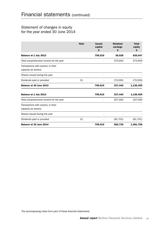## Statement of changes in equity for the year ended 30 June 2014

|                                                          | <b>Note</b> | <b>Issued</b><br>capital<br>\$ | <b>Retained</b><br>earnings<br>\$ | <b>Total</b><br>equity<br>\$. |
|----------------------------------------------------------|-------------|--------------------------------|-----------------------------------|-------------------------------|
| Balance at 1 July 2012                                   |             | 799,019                        | 36,028                            | 835,047                       |
| Total comprehensive income for the year                  |             |                                | 374,943                           | 374,943                       |
| Transactions with owners, in their<br>capacity as owners |             |                                |                                   |                               |
| Shares issued during the year                            |             |                                |                                   |                               |
| Dividends paid or provided                               | 21          |                                | (73,530)                          | (73, 530)                     |
| Balance at 30 June 2013                                  |             | 799,019                        | 337,440                           | 1,136,459                     |
| Balance at 1 July 2013                                   |             | 799,019                        | 337,440                           | 1,136,459                     |
| Total comprehensive income for the year                  |             |                                | 327,000                           | 327,000                       |
| Transactions with owners, in their<br>capacity as owners |             |                                |                                   |                               |
| Shares issued during the year                            |             |                                |                                   |                               |
| Dividends paid or provided                               | 21          |                                | (81, 701)                         | (81, 701)                     |
| Balance at 30 June 2014                                  |             | 799,019                        | 582,739                           | 1,381,758                     |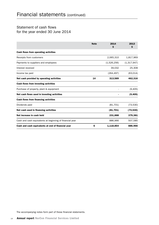## Statement of cash flows for the year ended 30 June 2014

|                                                          | <b>Note</b> | 2014<br>S   | 2013<br>\$  |
|----------------------------------------------------------|-------------|-------------|-------------|
| Cash flows from operating activities                     |             |             |             |
| Receipts from customers                                  |             | 2,065,310   | 1,817,969   |
| Payments to suppliers and employees                      |             | (1,526,256) | (1,317,947) |
| Interest received                                        |             | 39,032      | 25,308      |
| Income tax paid                                          |             | (264, 497)  | (63,014)    |
| Net cash provided by operating activities                | 14          | 313,589     | 462,316     |
| <b>Cash flows from investing activities</b>              |             |             |             |
| Purchase of property, plant & equipment                  |             |             | (9,405)     |
| Net cash flows used in investing activities              |             |             | (9, 405)    |
| <b>Cash flows from financing activities</b>              |             |             |             |
| Dividends paid                                           |             | (81, 701)   | (73,530)    |
| Net cash used in financing activities                    |             | (81, 701)   | (73,530)    |
| Net increase in cash held                                |             | 231,888     | 379,381     |
| Cash and cash equivalents at beginning of financial year |             | 886,966     | 507,585     |
| Cash and cash equivalents at end of financial year       | 6           | 1,118,854   | 886,966     |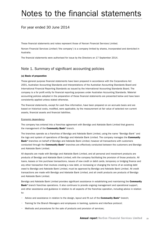## Notes to the financial statements

## For year ended 30 June 2014

These financial statements and notes represent those of Norcen Financial Services Limited.

Norcen Financial Services Limited ('the company') is a company limited by shares, incorporated and domiciled in Australia.

The financial statements were authorised for issue by the Directors on 17 September 2014.

## Note 1. Summary of significant accounting policies

#### (a) Basis of preparation

These general purpose financial statements have been prepared in accordance with the Corporations Act 2001, Australian Accounting Standards and Interpretations of the Australian Accounting Standards Board and International Financial Reporting Standards as issued by the International Accounting Standards Board. The company is a for profit entity for financial reporting purposes under Australian Accounting Standards. Material accounting policies adopted in the preparation of these financial statements are presented below and have been consistently applied unless stated otherwise.

The financial statements, except for cash flow information, have been prepared on an accruals basis and are based on historical costs, modified, were applicable, by the measurement at fair value of selected non current assets, financial assets and financial liabilities.

#### Economic dependency

The company has entered into a franchise agreement with Bendigo and Adelaide Bank Limited that governs the management of the **Community Bank®** branch.

The branches operate as a franchise of Bendigo and Adelaide Bank Limited, using the name "Bendigo Bank" and the logo and system of operations of Bendigo and Adelaide Bank Limited. The company manages the Community Bank<sup>®</sup> branches on behalf of Bendigo and Adelaide Bank Limited, however all transactions with customers conducted through the **Community Bank®** branches are effectively conducted between the customers and Bendigo and Adelaide Bank Limited.

All deposits are made with Bendigo and Adelaide Bank Limited, and all personal and investment products are products of Bendigo and Adelaide Bank Limited, with the company facilitating the provision of those products. All loans, leases or hire purchase transactions, issues of new credit or debit cards, temporary or bridging finance and any other transaction that involves creating a new debt, or increasing or changing the terms of an existing debt owed to Bendigo and Adelaide Bank Limited, must be approved by Bendigo and Adelaide Bank Limited. All credit transactions are made with Bendigo and Adelaide Bank Limited, and all credit products are products of Bendigo and Adelaide Bank Limited.

Bendigo and Adelaide Bank Limited provides significant assistance in establishing and maintaining the Community Bank<sup>®</sup> branch franchise operations. It also continues to provide ongoing management and operational support, and other assistance and guidance in relation to all aspects of the franchise operation, including advice in relation to:

- Advice and assistance in relation to the design, layout and fit out of the **Community Bank**<sup>®</sup> branch;
- Training for the Branch Managers and employees in banking, systems and interface protocol;
- Methods and procedures for the sale of products and provision of services;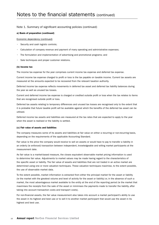#### a) Basis of preparation (continued)

Economic dependency (continued)

- Security and cash logistic controls;
- Calculation of company revenue and payment of many operating and administrative expenses;
- • The formulation and implementation of advertising and promotional programs; and
- Sale techniques and proper customer relations.

#### (b) Income tax

The income tax expense for the year comprises current income tax expense and deferred tax expense.

Current income tax expense charged to profit or loss is the tax payable on taxable income. Current tax assets are measured at the amounts expected to be recovered from the relevant taxation authority.

Deferred income tax expense reflects movements in deferred tax asset and deferred tax liability balances during the year as well as unused tax losses.

Current and deferred income tax expense is charged or credited outside profit or loss when the tax relates to items that are recognised outside profit or loss.

Deferred tax assets relating to temporary differences and unused tax losses are recognised only to the extent that it is probable that future taxable profit will be available against which the benefits of the deferred tax asset can be utilised.

Deferred income tax assets and liabilities are measured at the tax rates that are expected to apply to the year when the asset is realised or the liability is settled.

#### (c) Fair value of assets and liabilities

The company measures some of its assets and liabilities at fair value on either a recurring or non-recurring basis, depending on the requirements of the applicable Accounting Standard.

Fair value is the price the company would receive to sell an assets or would have to pay to transfer a liability in an orderly (ie enforced) transaction between independent, knowledgeable and willing market participants at the measurement date.

As fair value is a market-based measure, the closes equivalent observable market pricing information is used to determine fair value. Adjustments to market values may be made having regard to the characteristics of the specific asset or liability. The fair value of assets and liabilities that are not traded in an active market are determined using one or more valuation techniques. These valuation techniques maximise, to the extent possible, the use of observable market data.

To the extent possible, market information is extracted from either the principal market for the asset or liability (ie the market with the greatest volume and level of activity for the asset or liability) or, in the absence of such a market, the most advantageous market available to the entity at the end of the reporting period (ie the market that maximises the receipts from the sale of the asset or minimises the payments made to transfer the liability, after taking into account transaction costs and transport costs).

For non-financial assets, the fair value measurement also takes into account a market participant's ability to use the asset in its highest and best use or to sell it to another market participant that would use the asset in its highest and best use.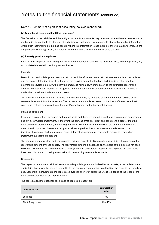#### (c) Fair value of assets and liabilities (continued)

The fair value of the liabilities and the entity's own equity instruments may be valued, where there is no observable market price in relation to the transfer of such financial instrument, by reference to observable market information where such instruments are held as assets. Where this information is not available, other valuation techniques are adopted, and where significant, are detailed in the respective note to the financial statements.

#### (d) Property, plant and equipment

Each class of property, plant and equipment is carried at cost or fair value as indicated, less, where applicable, any accumulated depreciation and impairment losses.

#### Property

Freehold land and buildings are measured at cost and therefore are carried at cost less accumulated depreciation and any accumulated impairment. In the even the carrying amount of land and buildings is greater than the estimated recoverable amount, the carrying amount is written down immediately to the estimated recoverable amount and impairment losses are recognised in profit or loss. A formal assessment of recoverable amount is made when impairment indicators are present.

The carrying amount of land and buildings is reviewed annually by Directors to ensure it is not in excess of the recoverable amount from these assets. The recoverable amount is assessed on the basis of the expected net cash flows that will be received from the asset's employment and subsequent disposal.

#### Plant and equipment

Plant and equipment are measured on the cost basis and therefore carried at cost less accumulated depreciation and any accumulated impairment. In the event the carrying amount of plant and equipment is greater than the estimated recoverable amount, the carrying amount is written down immediately to the estimated recoverable amount and impairment losses are recognised either in profit or loss or as a revaluation decrease if the impairment losses related to a revalued asset. A formal assessment of recoverable amount is made when impairment indicators are present.

The carrying amount of plant and equipment is reviewed annually by Directors to ensure it is not in excess of the recoverable amount of these assets. The recoverable amount is assessed on the basis of the expected net cash flows that will be received from the asset's employment and subsequent disposal. The expected net cash flows have been discounted to their present values in determining recoverable amounts.

#### Depreciation

The depreciable amount of all fixed assets including buildings and capitalised leased assets, is depreciated on a straight-line basis over the asset's useful life to the company commencing from the time the asset is held ready for use. Leasehold improvements are depreciated over the shorter of either the unexpired period of the lease or the estimated useful lives of the improvements.

The depreciation rates used for each class of depreciable asset are:

| <b>Class of asset</b> | <b>Depreciation</b><br>rate |
|-----------------------|-----------------------------|
| <b>Buildings</b>      | 4%                          |
| Plant & equipment     | 10 - 40%                    |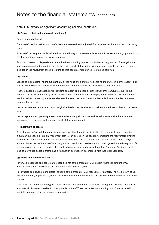#### (d) Property, plant and equipment (continued)

#### Depreciation (continued)

The assets' residual values and useful lives are reviewed, and adjusted if appropriate, at the end of each reporting period.

An assets' carrying amount is written down immediately to its recoverable amount if the assets' carrying amount is greater than its estimated recoverable amount.

Gains and losses on disposals are determined by comparing proceeds with the carrying amount. These gains and losses are recognised in profit or loss in the period in which they arise. When revalued assets are sold, amounts included in the revaluation surplus relating to that asset are transferred to retained earnings.

#### (e) Leases

Leases of fixed assets, where substantially all the risks and benefits incidental to the ownership of the asset - but not the legal ownership - are transferred to entities in the company, are classified as finance leases.

Finance leases are capitalised by recognising an asset and a liability at the lower of the amounts equal to the fair value of the leased property or the present value of the minimum lease payments, including any guaranteed residual values. Lease payments are allocated between the reduction of the lease liability and the lease interest expense for the period.

Leased assets are depreciated on a straight-line basis over the shorter of their estimated useful lives or the lease term.

Lease payments for operating leases, where substantially all the risks and benefits remain with the lessor, are recognised as expenses in the periods in which they are incurred.

#### (f) Impairment of assets

At each reporting period, the company assesses whether there is any indication that an asset may be impaired. If such an indication exists, an impairment test is carried out on the asset by comparing the recoverable amount of the asset, being the higher of the asset's fair value less cost to sell and value in use, to the asset's carrying amount. Any excess of the asset's carrying amount over its recoverable amount is recognised immediately in profit or loss, unless the asset is carried at a revalued amount in accordance with another Standard. Any impairment loss of a revalued asset is treated as a revaluation decrease in accordance with that other Standard.

#### (g) Goods and services tax (GST)

Revenues, expenses and assets are recognised net of the amount of GST, except where the amount of GST incurred is not recoverable from the Australian Taxation Office (ATO).

Receivables and payables are stated inclusive of the amount of GST receivable or payable. The net amount of GST recoverable from, or payable to, the ATO is included with other receivables or payables in the statement of financial position.

Cash flows are presented on a gross basis. The GST components of cash flows arising from investing or financing activities which are recoverable from, or payable to, the ATO are presented as operating cash flows included in receipts from customers or payments to suppliers.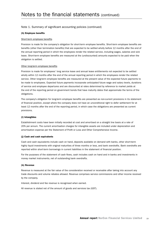#### (h) Employee benefits

#### Short-term employee benefits

Provision is made for the company's obligation for short-term employee benefits. Short-term employee benefits are benefits (other than termination benefits) that are expected to be settled wholly before 12 months after the end of the annual reporting period in which the employees render the related service, including wages, salaries and sick leave. Short-term employee benefits are measured at the (undiscounted) amounts expected to be paid when the obligation is settled.

#### Other long-term employee benefits

Provision is made for employees' long service leave and annual leave entitlements not expected to be settled wholly within 12 months after the end of the annual reporting period in which the employees render the related service. Other long-term employee benefits are measured at the present value of the expected future payments to be made to employees. Expected future payments incorporate anticipated future wage and salary levels, durations of service and employee departures and are discounted at rates determined by reference to market yields at the end of the reporting period on government bonds that have maturity dates that approximate the terms of the obligations.

The company's obligation for long-term employee benefits are presented as non-current provisions in its statement of financial position, except where the company does not have an unconditional right to defer settlement for at least 12 months after the end of the reporting period, in which case the obligations are presented as current provisions.

#### (i) Intangibles

Establishment costs have been initially recorded at cost and amortised on a straight line basis at a rate of 20% per annum. The current amortisation charges for intangible assets are included under depreciation and amortisation expense per the Statement of Profit or Loss and Other Comprehensive Income.

#### (j) Cash and cash equivalents

Cash and cash equivalents include cash on hand, deposits available on demand with banks, other short-term highly liquid investments with original maturities of three months or less, and bank overdrafts. Bank overdrafts are reported within short-term borrowings in current liabilities in the statement of financial position.

For the purposes of the statement of cash flows, cash includes cash on hand and in banks and investments in money market instruments, net of outstanding bank overdrafts.

#### (k) Revenue

Revenue is measured at the fair value of the consideration received or receivable after taking into account any trade discounts and volume rebates allowed. Revenue comprises service commissions and other income received by the company.

Interest, dividend and fee revenue is recognised when earned.

All revenue is stated net of the amount of goods and services tax (GST).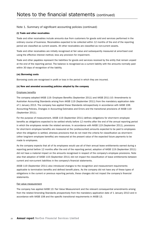#### (l) Trade and other receivables

Trade and other receivables include amounts due from customers for goods sold and services performed in the ordinary course of business. Receivables expected to be collected within 12 months of the end of the reporting period are classified as current assets. All other receivables are classified as non-current assets.

Trade and other receivables are initially recognised at fair value and subsequently measured at amortised cost using the effective interest method, less any provision for impairment.

Trade and other payables represent the liabilities for goods and services received by the entity that remain unpaid at the end of the reporting period. The balance is recognised as a current liability with the amounts normally paid within 30 days of recognition of the liability.

#### (m) Borrowing costs

Borrowing costs are recognised in profit or loss in the period in which they are incurred.

#### (n) New and amended accounting policies adopted by the company

#### Employee benefits

The company adopted AASB 119: Employee Benefits (September 2011) and AASB 2011-10: Amendments to Australian Accounting Standards arising from AASB 119 (September 2011) from the mandatory application date of 1 January 2013. The company has applied these Standards retrospectively in accordance with AASB 108: Accounting Policies, Changes in Accounting Estimates and Errors and the transitional provisions of AASB 119 (September 2011).

For the purpose of measurement, AASB 119 (September 2011) defines obligations for short-term employee benefits as obligations expected to be settled wholly before 12 months after the end of the annual reporting period in which the employees render the related services. In accordance with AASB 119 (September 2011), provisions for short-term employee benefits are measured at the (undiscounted) amounts expected to be paid to employees when the obligation is settled, whereas provisions that do not meet the criteria for classification as short-term (other long-term employee benefits) are measured at the present value of the expected future payments to be made to employees.

As the company expects that all of its employees would use all of their annual leave entitlements earned during a reporting period before 12 months after the end of the reporting period, adoption of AASB 119 (September 2011) did not have a material impact on the amounts recognised in respect of the company's employee provisions. Note also that adoption of AASB 119 (September 2011) did not impact the classification of leave entitlements between current and non-current liabilities in the company's financial statements.

AASB 119 (September 2011) also introduced changes to the recognition and measurement requirements applicable to termination benefits and defined benefit plans. As the company did not have any of these types of obligations in the current or previous reporting periods, these changes did not impact the company's financial statements.

#### Fair value measurement

The company has applied AASB 13: Fair Value Measurement and the relevant consequential amendments arising from the related Amending Standards prospectively from the mandatory application date of 1 January 2013 and in accordance with AASB 108 and the specific transitional requirements in AASB 13.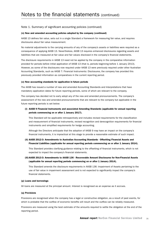#### (n) New and amended accounting policies adopted by the company (continued)

AASB 13 defines fair value, sets out in a single Standard a framework for measuring fair value, and requires disclosures about fair value measurement.

No material adjustments to the carrying amounts of any of the company's assets or liabilities were required as a consequence of applying AASB 13. Nevertheless, AASB 13 requires enhanced disclosures regarding assets and liabilities that are measured at fair value and fair values disclosed in the company's financial statements.

The disclosure requirements in AASB 13 need not be applied by the company in the comparative information provided for periods before initial application of AASB 13 (that is, periods beginning before 1 January 2013). However, as some of the disclosures now required under AASB 13 were previously required under other Australian Accounting Standards, such as AASB 7: Financial Instruments: Disclosures, the company has provided this previously provided information as comparatives in the current reporting period.

#### (o) New accounting standards for application in future periods

The AASB has issued a number of new and amended Accounting Standards and Interpretations that have mandatory application dates for future reporting periods, some of which are relevant to the company.

The company has decided not to early adopt any of the new and amended pronouncements. The company's assessment of the new and amended pronouncements that are relevant to the company but applicable in the future reporting periods is set below:

#### (i) AASB 9 Financial Instruments and associated Amending Standards (applicable for annual reporting periods commencing on or after 1 January 2017).

This Standard will be applicable retrospectively and includes revised requirements for the classification and measurement of financial instruments, revised recognition and derecognition requirements for financial instruments and simplified requirements for hedge accounting.

 Although the Directors anticipate that the adoption of AASB 9 may have an impact on the company's financial instruments, it is impractical at this stage to provide a reasonable estimate of such impact.

#### (ii) AASB 2012-3: Amendments to Australian Accounting Standards - Offsetting Financial Assets and Financial Liabilities (applicable for annual reporting periods commencing on or after 1 January 2014).

This Standard provides clarifying guidance relating to the offsetting of financial instruments, which is not expected to impact the company's financial statements.

#### (iii)AASB 2013-3: Amendments to AASB 136 - Recoverable Amount Disclosures for Non-Financial Assets (applicable for annual reporting periods commencing on or after 1 January 2014).

 This Standard amends the disclosure requirements in AASB 136: Impairment of Assets pertaining to the use of fair value in impairment assessment and is not expected to significantly impact the company's financial statements.

#### (p) Loans and borrowings

All loans are measured at the principal amount. Interest is recognised as an expense as it accrues.

#### (q) Provisions

Provisions are recognised when the company has a legal or constructive obligation, as a result of past events, for which is probable that the outflow of economic benefits will result and the outflow can be reliably measured.

Provisions are measured using the best estimate of the amounts required to settle the obligation at the end of the reporting period.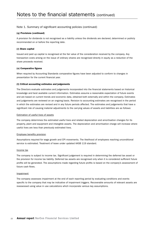#### (q) Provisions (continued)

A provision for dividends is not recognised as a liability unless the dividends are declared, determined or publicly recommended on or before the reporting date.

#### (r) Share capital

Issued and paid up capital is recognised at the fair value of the consideration received by the company. Any transaction costs arising on the issue of ordinary shares are recognised directly in equity as a reduction of the share proceeds received.

#### (s) Comparative figures

When required by Accounting Standards comparative figures have been adjusted to conform to changes in presentation for the current financial year.

#### (t) Critical accounting estimates and judgements

The Directors evaluate estimates and judgements incorporated into the financial statements based on historical knowledge and best available current information. Estimates assume a reasonable expectation of future events and are based on current trends and economic data, obtained both externally and within the company. Estimates and judgements are reviewed on an ongoing basis. Revision to accounting estimates are recognised in the period in which the estimates are revised and in any future periods affected. The estimates and judgements that have a significant risk of causing material adjustments to the carrying values of assets and liabilities are as follows:

#### Estimation of useful lives of assets

The company determines the estimated useful lives and related depreciation and amortisation changes for its property, plant and equipment and intangible assets. The depreciation and amortisation charge will increase where useful lives are less than previously estimated lives.

#### Employee benefits provision

Assumptions required for wage growth and CPI movements. The likelihood of employees reaching unconditional service is estimated. Treatment of leave under updated AASB 119 standard.

#### Income tax

The company is subject to income tax. Significant judgement is required in determining the deferred tax asset or the provision for income tax liability. Deferred tax assets are recognised only when it is considered sufficient future profits will be generated. The assumptions made regarding future profits is based on the company's assessment of future cash flows.

#### **Impairment**

The company assesses impairment at the end of each reporting period by evaluating conditions and events specific to the company that may be indicative of impairment triggers. Recoverable amounts of relevant assets are reassessed using value in use calculations which incorporate various key assumptions.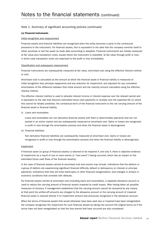#### (u) Financial instruments

#### Initial recognition and measurement

Financial assets and financial liabilities are recognised when the entity becomes a party to the contractual provisions to the instrument. For financial assets, this is equivalent to the date that the company commits itself to either purchase or sell the asset (ie trade date accounting is adopted). Financial instruments are initially measured at fair value plus transaction costs, except where the instrument is classified 'at fair value through profit or loss', in which case transaction costs are expensed to the profit or loss immediately.

#### Classification and subsequent measurement

Financial instruments are subsequently measured at fair value, amortised cost using the effective interest method or cost.

Amortised cost is calculated as the amount at which the financial asset or financial liability is measured at initial recognition less principal repayments and any reduction for impairment, and adjusted for any cumulative amortisation of the difference between that initial amount and the maturity amount calculated using the effective interest method.

The effective interest method is used to allocate interest income or interest expense over the relevant period and is equivalent to the rate that discount estimated future cash payments or receipts over the expected life (or where this cannot be reliably predicted, the contractual term) of the financial instrument to the net carrying amount of the financial asset or financial liability.

(i) Loans and receivables

Loans and receivables are non derivative financial assets with fixed or determinable payments that are not quoted in an active market and are subsequently measured at amortised cost. Gains or losses are recognised in profit or loss through the amortisation process and when the financial asset is derecognised.

(ii) Financial liabilities

Non derivative financial liabilities are subsequently measured at amortised cost. Gains or losses are recognised in profit or loss through the amortisation process and when the financial liability is derecognised.

#### Impairment

A financial asset (or group of financial assets) is deemed to be impaired if, and only if, there is objective evidence of impairment as a result of one or more events (a "loss event") having occurred, which has an impact on the estimated future cash flows of the financial asset(s).

In the case of financial assets carried at amortised cost loss events may include: indications that the debtors or a group of debtors are experiencing significant financial difficulty, default or delinquency on interest or principal payments; indications that they will enter bankruptcy or other financial reorganisation; and changes in arrears or economic conditions that correlate with defaults.

For financial assets carried at amortised cost (including loans and receivables), a separate allowance account is used to reduce the carrying amount of financial assets impaired by credit losses. After having taken all possible measures of recovery, if management establishes that the carrying amount cannot be recovered by any means, at that point the written-off amounts are charged to the allowance account or the carrying amount of impaired financial asset is reduced directly if no impairment amount was previously recognised in the allowance account.

When the terms of financial assets that would otherwise have been past due or impaired have been renegotiated, the company recognises the impairment for such financial assets by taking into account the original terms as if the terms have not been renegotiated so that the loss events that have occurred are duly considered.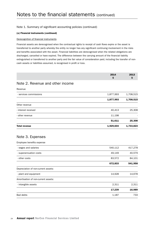#### (u) Financial instruments (continued)

#### Derecognition of financial instruments

Financial assets are derecognised when the contractual rights to receipt of cash flows expire or the asset is transferred to another party whereby the entity no longer has any significant continuing involvement in the risks and benefits associated with the asset. Financial liabilities are derecognised when the related obligations are discharged, cancelled or have expired. The difference between the carrying amount of the financial liability extinguished or transferred to another party and the fair value of consideration paid, including the transfer of noncash assets or liabilities assumed, is recognised in profit or loss.

| 2014 | 2013 |
|------|------|
|      |      |
|      |      |

### Note 2. Revenue and other income

Revenue

| <b>Total revenue</b>   | 1,929,604 | 1,733,823 |
|------------------------|-----------|-----------|
|                        | 51,611    | 25,308    |
| - other revenue        | 11,198    |           |
| - interest received    | 40,413    | 25,308    |
| Other revenue          |           |           |
|                        | 1,877,993 | 1,708,515 |
| - services commissions | 1,877,993 | 1,708,515 |
|                        |           |           |

## Note 3. Expenses

Employee benefits expense

| - wages and salaries                | 540,112 | 417,278 |
|-------------------------------------|---------|---------|
| - superannuation costs              | 49,149  | 40,579  |
| - other costs                       | 83,572  | 84,101  |
|                                     | 672,833 | 541,958 |
| Depreciation of non-current assets: |         |         |
| - plant and equipment               | 14,928  | 14,678  |
| Amortisation of non-current assets: |         |         |
| - intangible assets                 | 2,311   | 2,311   |
|                                     | 17,239  | 16,989  |
| <b>Bad debts</b>                    | 1,187   | 733     |
|                                     |         |         |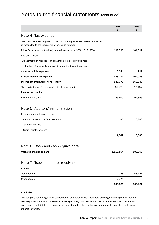## Notes to the financial statements (continued)

|                                                                                                                                        | 2014      | 2013    |
|----------------------------------------------------------------------------------------------------------------------------------------|-----------|---------|
|                                                                                                                                        | s         | s       |
| Note 4. Tax expense                                                                                                                    |           |         |
| The prima facie tax on profit/(loss) from ordinary activities before income tax<br>is reconciled to the income tax expense as follows: |           |         |
| Prima facie tax on profit/(loss) before income tax at 30% (2013: 30%)                                                                  | 142,733   | 161,097 |
| Add tax effect of:                                                                                                                     |           |         |
| - Adjustments in respect of current income tax of previous year                                                                        |           |         |
| - Utilisation of previously unrecognised carried forward tax losses                                                                    |           |         |
| - Non-deductible expenses                                                                                                              | 6,044     | 949     |
| <b>Current income tax expense</b>                                                                                                      | 148,777   | 162,046 |
| Income tax attributable to the entity                                                                                                  | 148,777   | 162,046 |
| The applicable weighted average effective tax rate is                                                                                  | 31.27%    | 30.18%  |
| Income tax liability                                                                                                                   |           |         |
| Income tax payable                                                                                                                     | 23,599    | 97,593  |
| Note 5. Auditors' remuneration<br>Remuneration of the Auditor for:                                                                     |           |         |
| - Audit or review of the financial report                                                                                              | 4,582     | 3,868   |
| - Taxation services                                                                                                                    |           |         |
| - Share registry services                                                                                                              |           |         |
|                                                                                                                                        | 4,582     | 3,868   |
| Note 6. Cash and cash equivalents                                                                                                      |           |         |
| Cash at bank and on hand                                                                                                               | 1,118,854 | 886,966 |
|                                                                                                                                        |           |         |
| Note 7. Trade and other receivables                                                                                                    |           |         |
| <b>Current</b>                                                                                                                         |           |         |
| Trade debtors                                                                                                                          | 172,955   | 166,421 |
| Other assets                                                                                                                           | 7,571     |         |
|                                                                                                                                        | 180,526   | 166,421 |

#### Credit risk

The company has no significant concentration of credit risk with respect to any single counterparty or group of counterparties other than those receivables specifically provided for and mentioned within Note 7. The main sources of credit risk to the company are considered to relate to the classes of assets described as trade and other receivables.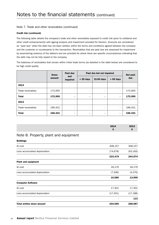#### Note 7. Trade and other receivables (continued)

#### Credit risk (continued)

The following table details the company's trade and other receivables exposed to credit risk (prior to collateral and other credit enhancements) with ageing analysis and impairment provided for thereon. Amounts are considered as "past due" when the debt has not been settled, within the terms and conditions agreed between the company and the customer or counterparty to the transaction. Receivables that are past due are assessed for impairment by ascertaining solvency of the debtors and are provided for where there are specific circumstances indicating that the debt may not be fully repaid to the company.

The balances of receivables that remain within initial trade terms (as detailed in the table below) are considered to be high credit quality.

|                   | <b>Gross</b> | Past due<br>Past due but not impaired |             |                          |             |         | Not past |
|-------------------|--------------|---------------------------------------|-------------|--------------------------|-------------|---------|----------|
|                   | amount       | and<br>impaired                       | $<$ 30 days | 31-60 days               | $> 60$ days | due     |          |
| 2014              |              |                                       |             |                          |             |         |          |
| Trade receivables | 172,955      | ٠                                     | ٠           | ٠                        | ٠           | 172,955 |          |
| <b>Total</b>      | 172,955      | ٠                                     |             | ٠                        |             | 172,955 |          |
| 2013              |              |                                       |             |                          |             |         |          |
| Trade receivables | 166,421      | ٠                                     | ٠           | $\overline{\phantom{a}}$ | $\sim$      | 166,421 |          |
| <b>Total</b>      | 166,421      | -                                     | ۰           | ٠                        |             | 166,421 |          |

| 301 A<br>ZVJ<br>. . | m<br>49 I.C |
|---------------------|-------------|
|                     |             |

### Note 8. Property, plant and equipment

#### Buildings

| <b>Total written down amount</b> | 244,059   | 258,987   |
|----------------------------------|-----------|-----------|
|                                  |           | 113       |
| Less accumulated depreciation    | (17, 301) | (17, 188) |
| At cost                          | 17,301    | 17,301    |
| <b>Computer Software</b>         |           |           |
|                                  | 10,580    | 13,900    |
| Less accumulated depreciation    | (7,596)   | (4, 276)  |
| At cost                          | 18,176    | 18,176    |
| <b>Plant and equipment</b>       |           |           |
|                                  | 233,479   | 244,974   |
| Less accumulated depreciation    | (74, 678) | (63, 183) |
| At cost                          | 308,157   | 308,157   |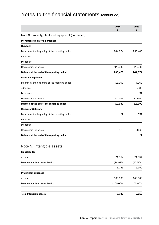## Notes to the financial statements (continued)

|                                                   | 2014<br>s | 2013<br>\$ |
|---------------------------------------------------|-----------|------------|
| Note 8. Property, plant and equipment (continued) |           |            |
| <b>Movements in carrying amounts</b>              |           |            |
| <b>Buildings</b>                                  |           |            |
| Balance at the beginning of the reporting period  | 244,974   | 256,440    |
| Additions                                         |           |            |
| Disposals                                         |           |            |
| Depreciation expense                              | (11, 495) | (11, 466)  |
| Balance at the end of the reporting period        | 233,479   | 244,974    |
| <b>Plant and equipment</b>                        |           |            |
| Balance at the beginning of the reporting period  | 13,900    | 7,162      |
| Additions                                         |           | 8,388      |
| Disposals                                         |           | $-52$      |
| Depreciation expense                              | (3,320)   | (1,598)    |
| Balance at the end of the reporting period        | 10,580    | 13,900     |
| <b>Computer Software</b>                          |           |            |
| Balance at the beginning of the reporting period  | 27        | 657        |
| Additions                                         |           |            |
| Disposals                                         |           |            |
| Depreciation expense                              | (27)      | (630)      |
| Balance at the end of the reporting period        |           | 27         |

## Note 9. Intangible assets

#### Franchise fee

| <b>Total Intangible assets</b> | 6,739     | 9,050     |
|--------------------------------|-----------|-----------|
|                                | ٠         |           |
| Less accumulated amortisation  | (100,000) | (100,000) |
| At cost                        | 100,000   | 100,000   |
| <b>Preliminary expenses</b>    |           |           |
|                                | 6,739     | 9,050     |
| Less accumulated amortisation  | (14, 815) | (12, 504) |
| At cost                        | 21,554    | 21,554    |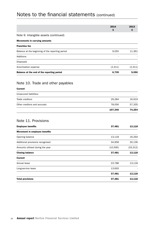## Notes to the financial statements (continued)

|                                                  | 2014<br>\$ | 2013<br>\$ |
|--------------------------------------------------|------------|------------|
| Note 9. Intangible assets (continued)            |            |            |
| <b>Movements in carrying amounts</b>             |            |            |
| <b>Franchise fee</b>                             |            |            |
| Balance at the beginning of the reporting period | 9,050      | 11,361     |
| Additions                                        |            |            |
| Disposals                                        |            |            |
| Amortisation expense                             | (2,311)    | (2,311)    |
| Balance at the end of the reporting period       | 6,739      | 9,050      |
| Note 10. Trade and other payables                |            |            |
| <b>Current</b>                                   |            |            |
| Unsecured liabilities:                           |            |            |
| Trade creditors                                  | 29,284     | 16,919     |
| Other creditors and accruals                     | 78,056     | 57,335     |
|                                                  | 107,340    | 74,254     |
| Note 11. Provisions                              |            |            |
| <b>Employee benefits</b>                         | 37,481     | 13,118     |
| Movement in employee benefits                    |            |            |
| Opening balance                                  | 13,118     | 16,294     |
| Additional provisions recognised                 | 34,958     | 30,136     |
| Amounts utilised during the year                 | (10, 595)  | (33, 312)  |
| <b>Closing balance</b>                           | 37,481     | 13,118     |
| <b>Current</b>                                   |            |            |
| Annual leave                                     | 23,788     | 13,118     |
| Long-service leave                               | 13,693     |            |
|                                                  | 37,481     | 13,118     |
| <b>Total provisions</b>                          | 37,481     | 13,118     |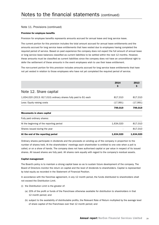#### Note 11. Provisions (continued)

#### Provision for employee benefits

Provision for employee benefits represents amounts accrued for annual leave and long service leave.

The current portion for this provision includes the total amount accrued for annual leave entitlements and the amounts accrued for long service leave entitlements that have vested due to employees having completed the required period of service. Based on past experience the company does not expect the full amount of annual leave or long service leave balances classified as current liabilities to be settled within the next 12 months. However, these amounts must be classified as current liabilities since the company does not have an unconditional right to defer the settlement of these amounts in the event employees wish to use their leave entitlement.

The non-current portion for this provision includes amounts accrued for long service leave entitlements that have not yet vested in relation to those employees who have not yet completed the required period of service.

|                                                                  | 2014<br>\$ | 2013<br>\$ |
|------------------------------------------------------------------|------------|------------|
| Note 12. Share capital                                           |            |            |
| 1,634,020 (2013: 817,010) ordinary shares fully paid to \$1 each | 817,010    | 817,010    |
| Less: Equity raising costs                                       | (17,991)   | (17,991)   |
|                                                                  | 799,019    | 799,019    |
| Movements in share capital                                       |            |            |
| Fully paid ordinary shares:                                      |            |            |
| At the beginning of the reporting period                         | 1,634,020  | 817,010    |
| Shares issued during the year                                    |            | 817,010    |
| At the end of the reporting period                               | 1,634,020  | 1,634,020  |

Ordinary shares participate in dividends and the proceeds on winding up of the company in proportion to the number of shares held. At the shareholders' meetings each shareholder is entitled to one vote when a poll is called, or on a show of hands. The company does not have authorised capital or par value in respect of its issued shares. All issued shares are fully paid. All shares rank equally with regard to the company's residual assets.

#### Capital management

The Board's policy is to maintain a strong capital base so as to sustain future development of the company. The Board of Directors monitor the return on capital and the level of dividends to shareholders. Capital is represented by total equity as recorded in the Statement of Financial Position.

In accordance with the franchise agreement, in any 12 month period, the funds distributed to shareholders shall not exceed the Distribution Limit.

- (i) the Distribution Limit is the greater of:
	- (a) 20% of the profit or funds of the Franchisee otherwise available for distribution to shareholders in that 12 month period; and
	- (b) subject to the availability of distributable profits, the Relevant Rate of Return multiplied by the average level of share capital of the Franchisee over that 12 month period; and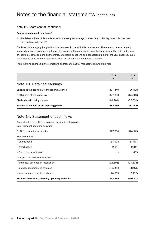#### Note 12. Share capital (continued)

#### Capital management (continued)

(ii) the Relevant Rate of Return is equal to the weighted average interest rate on 90 day bank bills over that 12 month period plus 5%.

The Board is managing the growth of the business in line with this requirement. There are no other externally imposed capital requirements, although the nature of the company is such that amounts will be paid in the form of charitable donations and sponsorship. Charitable donations and sponsorship paid for the year ended 30 June 2014 can be seen in the Statement of Profit or Loss and Comprehensive Income.

There were no changes in the company's approach to capital management during the year.

|                                                  | 2014<br>\$ | 2013<br>\$, |
|--------------------------------------------------|------------|-------------|
| Note 13. Retained earnings                       |            |             |
| Balance at the beginning of the reporting period | 337,440    | 36,028      |
| Profit/(loss) after income tax                   | 327,000    | 374.943     |
| Dividends paid during the year                   | (81, 701)  | (73,531)    |
| Balance at the end of the reporting period       | 582.739    | 337,440     |

### Note 14. Statement of cash flows

Reconciliation of profit / (loss) after tax to net cash provided from/(used in) operating activities

| Profit / (loss) after income tax                   | 327,000   | 374,943   |
|----------------------------------------------------|-----------|-----------|
|                                                    |           |           |
| Non cash items                                     |           |           |
| - Depreciation                                     | 14,928    | 14,677    |
| - Amortisation                                     | 2,311     | 2,311     |
| - Fixed assets written off                         |           | 409       |
| Changes in assets and liabilities                  |           |           |
| - (Increase) decrease in receivables               | (14, 105) | (27, 836) |
| - Increase (decrease) in payables                  | (40,908)  | 98,975    |
| - Increase (decrease) in provisions                | 24,363    | (3, 176)  |
| Net cash flows from/(used in) operating activities | 313,589   | 460,303   |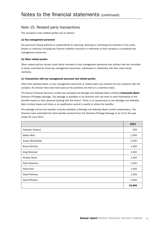## Note 15. Related party transactions

The company's main related parties are as follows:

#### (a) Key management personnel

Any person(s) having authority or responsibility for planning, directing or controlling the activities of the entity, directly or indirectly including any Director (whether executive or otherwise) of that company is considered key management personnel.

#### (b) Other related parties

Other related parties include close family members of key management personnel and entities that are controlled or jointly controlled by those key management personnel, individually or collectively with their close family members.

#### (c) Transactions with key management personnel and related parties

Other than detailed below, no key management personnel or related party has entered into any contracts with the company. No Director fees have been paid as the positions are held on a voluntary basis.

The Norcen Financial Services Limited has accepted the Bendigo and Adelaide Bank Limited's Community Bank® Directors Privileges package. The package is available to all Directors who can elect to avail themselves of the benefits based on their personal banking with the branch. There is no requirement to own Bendigo and Adelaide Bank Limited shares and there is no qualification period to qualify to utilise the benefits.

The package mirrors the benefits currently available to Bendigo and Adelaide Bank Limited shareholders. The Directors have estimated the total benefits received from the Directors Privilege Package to be nil for the year ended 30 June 2014.

|                       | 2014   |
|-----------------------|--------|
| Kathleen Holland      | 500    |
| <b>Walter Mott</b>    | 1,500  |
| Susan Marstaeller     | 5,000  |
| <b>Bruce Nicholls</b> | 1,500  |
| <b>Greg Marshall</b>  | 1,500  |
| Andrzej Skora         | 1,500  |
| Peter Roylance        | 1,500  |
| David Ford            | 1,500  |
| David Pettman         | 1,500  |
| David Wheeler         | 3,000  |
|                       | 19,000 |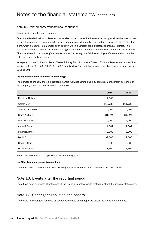#### Note 15. Related party transactions (continued)

#### Remuneration benefits and payments

Other than detailed below, no Director has received or become entitled to receive, during or since the financial year, a benefit because of a contract made by the company, controlled entity or related body corporate with a Director, a firm which a Director is a member or an entity in which a Director has a substantial financial interest. This statement excludes a benefit included in the aggregate amount of emoluments received or due and receivable by Directors shown in the company's accounts, or the fixed salary of a full-time employee of the company, controlled entity or related body corporate.

Newspaper House Pty Ltd and James Yeates Printing Pty Ltd, of which Walter H Mott is a Director and shareholder, received a fee of \$15,760 (2013: \$16,263) for advertising and printing services supplied during the year ended 30 June 2014.

#### (d) Key management personnel shareholdings

The number of ordinary shares in Norcen Financial Services Limited held by each key management personnel of the company during the financial year is as follows:

|                       | 2014    | 2013    |
|-----------------------|---------|---------|
| Kathleen Holland      | 2,000   |         |
| <b>Walter Mott</b>    | 116,736 | 111,736 |
| Susan Marstaeller     | 5,002   | 6,002   |
| <b>Bruce Nicholls</b> | 31,824  | 31,824  |
| <b>Greg Marshall</b>  | 4,000   | 4,000   |
| Andrzej Skora         | 4,002   | 4,002   |
| Peter Roylance        | 2,002   | 2,002   |
| David Ford            | 32,000  | 22,000  |
| David Pettman         | 5,000   | 5,000   |
| David Wheeler         | 11,600  | 11,600  |

Each share held has a paid up value of \$1 and is fully paid.

#### (e) Other key management transactions

There has been no other transactions involving equity instruments other than those described above.

### Note 16. Events after the reporting period

There have been no events after the end of the financial year that would materially affect the financial statements.

### Note 17. Contingent liabilities and assets

There were no contingent liabilities or assets at the date of this report to affect the financial statements.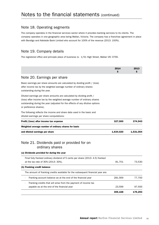## Note 18. Operating segments

The company operates in the financial services sector where it provides banking services to its clients. The company operates in one geographic area being Wallan, Victoria. The company has a franchise agreement in place with Bendigo and Adelaide Bank Limited who account for 100% of the revenue (2013: 100%).

## Note 19. Company details

The registered office and principle place of business is: 1/51 High Street, Wallan VIC 3756.

| Note 20. Earnings per share                                                                                                                                                                                                                                    |           |           |
|----------------------------------------------------------------------------------------------------------------------------------------------------------------------------------------------------------------------------------------------------------------|-----------|-----------|
|                                                                                                                                                                                                                                                                |           |           |
| Basic earnings per share amounts are calculated by dividing profit / (loss)<br>after income tax by the weighted average number of ordinary shares<br>outstanding during the year.                                                                              |           |           |
| Diluted earnings per share amounts are calculated by dividing profit /<br>(loss) after income tax by the weighted average number of ordinary shares<br>outstanding during the year (adjusted for the effects of any dilutive options<br>or preference shares). |           |           |
| The following reflects the income and share data used in the basic and<br>diluted earnings per share computations:                                                                                                                                             |           |           |
| Profit/(loss) after income tax expense                                                                                                                                                                                                                         | 327,000   | 374,943   |
| Weighted average number of ordinary shares for basic                                                                                                                                                                                                           |           |           |
| and diluted earnings per share                                                                                                                                                                                                                                 | 1,634,020 | 1,531,054 |
| Note 21. Dividends paid or provided for on<br>ordinary shares                                                                                                                                                                                                  |           |           |
| (a) Dividends provided for during the year                                                                                                                                                                                                                     |           |           |
| Final fully franked ordinary dividend of 5 cents per share (2013: 4.5) franked<br>at the tax rate of 30% (2013: 30%).                                                                                                                                          | 81,701    | 73,530    |
| (b) Franking credit balance                                                                                                                                                                                                                                    |           |           |
| The amount of franking credits available for the subsequent financial year are:                                                                                                                                                                                |           |           |
| Franking account balance as at the end of the financial year                                                                                                                                                                                                   | 281,569   | 77,700    |
| Franking credits that will arise from the payment of income tax                                                                                                                                                                                                |           |           |
| payable as at the end of the financial year                                                                                                                                                                                                                    | 23,599    | 97,593    |
|                                                                                                                                                                                                                                                                | 305,168   | 175,293   |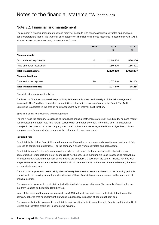### Note 22. Financial risk management

The company's financial instruments consist mainly of deposits with banks, account receivables and payables, bank overdraft and loans. The totals for each category of financial instruments measured in accordance with AASB 139 as detailed in the accounting policies are as follows:

|                                    | <b>Note</b> | 2014<br>\$ | 2013<br>\$ |
|------------------------------------|-------------|------------|------------|
| <b>Financial assets</b>            |             |            |            |
| Cash and cash equivalents          | 6           | 1,118,854  | 886,966    |
| Trade and other receivables        | 7           | 180,526    | 166,421    |
| <b>Total financial assets</b>      |             | 1,299,380  | 1,053,387  |
| <b>Financial liabilities</b>       |             |            |            |
| Trade and other payables           | 10          | 107,340    | 74.254     |
| <b>Total financial liabilities</b> |             | 107,340    | 74,254     |

#### Financial risk management policies

The Board of Directors has overall responsibility for the establishment and oversight of the risk management framework. The Board has established an Audit Committee which reports regularly to the Board. The Audit Committee is assisted in the area of risk management by an internal audit function.

#### Specific financial risk exposure and management

The main risks the company is exposed to through its financial instruments are credit risk, liquidity risk and market risk consisting of interest rate risk, foreign currency risk and other price risk. There have been no substantial changes in the types of risks the company is exposed to, how the risks arise, or the Board's objectives, policies and processes for managing or measuring the risks from the previous period.

#### (a) Credit risk

Credit risk is the risk of financial loss to the company if a customer or counterparty to a financial instrument fails to meet its contractual obligations. For the company it arises from receivables and cash assets.

Credit risk is managed through maintaining procedures that ensure, to the extent possible, that clients and counterparties to transactions are of sound credit worthiness. Such monitoring is used in assessing receivables for impairment. Credit terms for normal fee income are generally 30 days from the date of invoice. For fees with longer settlements, terms are specified in the individual client contracts. In the case of loans advanced, the terms are specific to each loan.

The maximum exposure to credit risk by class of recognised financial assets at the end of the reporting period is equivalent to the carrying amount and classification of those financial assets as presented in the statement of financial position.

The company's exposure to credit risk is limited to Australia by geographic area. The majority of receivables are due from Bendigo and Adelaide Bank Limited.

None of the assets of the company are past due (2013: nil past due) and based on historic default rates, the company believes that no impairment allowance is necessary in respect of assets not past due.

The company limits its exposure to credit risk by only investing in liquid securities with Bendigo and Adelaide Bank Limited and therefore credit risk is considered minimal.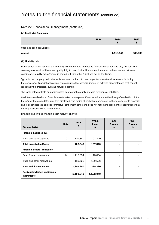#### Note 22. Financial risk management (continued)

#### (a) Credit risk (continued)

|                            | <b>Note</b> | 2014      | 2013    |
|----------------------------|-------------|-----------|---------|
| Cash and cash equivalents: |             |           |         |
| A rated                    |             | 1,118,854 | 886,966 |

#### (b) Liquidity risk

Liquidity risk is the risk that the company will not be able to meet its financial obligations as they fall due. The company ensures it will have enough liquidity to meet its liabilities when due under both normal and stressed conditions. Liquidity management is carried out within the guidelines set by the Board.

Typically, the company maintains sufficient cash on hand to meet expected operational expenses, including the servicing of financial obligations. This excludes the potential impact of extreme circumstances that cannot reasonably be predicted, such as natural disasters.

The table below reflects an undiscounted contractual maturity analysis for financial liabilities.

Cash flows realised from financial assets reflect management's expectation as to the timing of realisation. Actual timing may therefore differ from that disclosed. The timing of cash flows presented in the table to settle financial liabilities reflects the earliest contractual settlement dates and does not reflect management's expectations that banking facilities will be rolled forward.

| 30 June 2014                                           | <b>Note</b> | <b>Total</b><br>\$ | <b>Within</b><br>1 year<br>S | 1 to<br>5 years<br>Ş | <b>Over</b><br>5 years<br>Ş |
|--------------------------------------------------------|-------------|--------------------|------------------------------|----------------------|-----------------------------|
| <b>Financial liabilities due</b>                       |             |                    |                              |                      |                             |
| Trade and other payables                               | 10          | 107,340            | 107,340                      |                      |                             |
| <b>Total expected outflows</b>                         |             | 107,340            | 107,340                      | ۰                    |                             |
| <b>Financial assets - realisable</b>                   |             |                    |                              |                      |                             |
| Cash & cash equivalents                                | 6           | 1,118,854          | 1,118,854                    | ۰                    |                             |
| Trade and other receivables                            | 7           | 180,526            | 180,526                      | ۰                    |                             |
| <b>Total anticipated inflows</b>                       |             | 1,299,380          | 1,299,380                    |                      |                             |
| Net (outflow)inflow on financial<br><b>instruments</b> |             | 1,192,040          | 1,192,040                    | ٠                    |                             |

Financial liability and financial asset maturity analysis: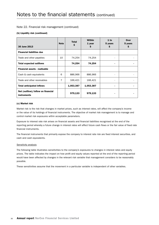#### Note 22. Financial risk management (continued)

#### (b) Liquidity risk (continued)

| 30 June 2013                                            | <b>Note</b> | <b>Total</b><br>\$ | <b>Within</b><br>1 year<br>\$ | 1 to<br>5 years<br>\$ | Over<br>5 years<br>Ş |
|---------------------------------------------------------|-------------|--------------------|-------------------------------|-----------------------|----------------------|
| <b>Financial liabilities due</b>                        |             |                    |                               |                       |                      |
| Trade and other payables                                | 10          | 74,254             | 74,254                        |                       |                      |
| <b>Total expected outflows</b>                          |             | 74,254             | 74,254                        | ٠                     |                      |
| Financial assets - realisable                           |             |                    |                               |                       |                      |
| Cash & cash equivalents                                 | 6           | 886,966            | 886,966                       |                       |                      |
| Trade and other receivables                             | 7           | 166,421            | 166,421                       | ۰                     |                      |
| <b>Total anticipated inflows</b>                        |             | 1,053,387          | 1,053,387                     |                       |                      |
| Net (outflow)/inflow on financial<br><b>instruments</b> |             | 979,133            | 979,133                       |                       |                      |

#### (c) Market risk

Market risk is the risk that changes in market prices, such as interest rates, will affect the company's income or the value of its holdings of financial instruments. The objective of market risk management is to manage and control market risk exposures within acceptable parameters.

Exposure to interest rate risk arises on financial assets and financial liabilities recognised at the end of the reporting period whereby a future change in interest rates will affect future cash flows or the fair value of fixed rate financial instruments.

The financial instruments that primarily expose the company to interest rate risk are fixed interest securities, and cash and cash equivalents.

#### Sensitivity analysis

The following table illustrates sensitivities to the company's exposures to changes in interest rates and equity prices. The table indicates the impact on how profit and equity values reported at the end of the reporting period would have been affected by changes in the relevant risk variable that management considers to be reasonably possible.

These sensitivities assume that the movement in a particular variable is independent of other variables.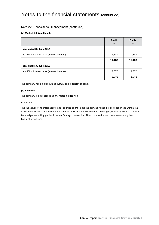#### Note 22. Financial risk management (continued)

#### (c) Market risk (continued)

|                                           | <b>Profit</b><br>Ş | <b>Equity</b><br>\$ |
|-------------------------------------------|--------------------|---------------------|
| Year ended 30 June 2014                   |                    |                     |
| +/-1% in interest rates (interest income) | 11,189             | 11,189              |
|                                           | 11,189             | 11,189              |
| Year ended 30 June 2013                   |                    |                     |
| +/-1% in interest rates (interest income) | 8,870              | 8,870               |
|                                           | 8,870              | 8,870               |

The company has no exposure to fluctuations in foreign currency.

#### (d) Price risk

The company is not exposed to any material price risk.

#### Fair values

The fair values of financial assets and liabilities approximate the carrying values as disclosed in the Statemetn of Financial Position. Fair Value is the amount at which an asset could be exchanged, or liability settled, between knowledgeable, willing parties in an arm's length transaction. The company does not have an unrecognised financial at year end.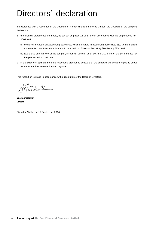## Directors' declaration

In accordance with a resolution of the Directors of Norcen Financial Services Limited, the Directors of the company declare that:

- 1 the financial statements and notes, as set out on pages 11 to 37 are in accordance with the Corporations Act 2001 and:
	- (i) comply with Australian Accounting Standards, which as stated in accounting policy Note 1(a) to the financial statements constitutes compliance with International Financial Reporting Standards (IFRS); and
	- (ii) give a true and fair view of the company's financial position as at 30 June 2014 and of the performance for the year ended on that date;
- 2 in the Directors' opinion there are reasonable grounds to believe that the company will be able to pay its debts as and when they become due and payable.

This resolution is made in accordance with a resolution of the Board of Directors.

Mastaelle

Sue Marstaeller Director

Signed at Wallan on 17 September 2014.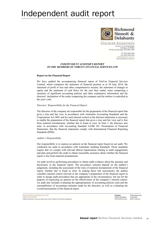## Independent audit report



Level 2, 10-16 Forest Street Bendige, VICTORIA

> Ph: (03) 5445 4200 Fax: (03) 5444 4344 rusia rsd@rsdadvisors.com.ou<br>www.rsdadvisors.com.au

#### *INDEPENDENT AUDITOR'S REPORT TO THE MEMBERS OF NORCEN FINANCIAL SERVICES LTD*

#### **Report on the Financial Report**

We have audited the accompanying financial report of NorCen Financial Services Limited, which comprises the statement of financial position as at 30 June 2014, the statement of profit or loss and other comprehensive income, the statement of changes in equity and the statement of cash flows for the year then ended, notes comprising a summary of significant accounting policies and other explanatory information and the directors' declaration of the entity comprising the company and the entities it controlled at the year's end.

#### *Directors' Responsibility for the Financial Report*

The directors of the company are responsible for the preparation of the financial report that gives a true and fair view in accordance with Australian Accounting Standards and the Corporations Act 2001 and for such internal control as the directors determine is necessary to enable the preparation of the financial report that gives a true and fair view and is free from material misstatement, whether due to fraud or error. In Note 1, the directors also state, in accordance with Accounting Standard AASB 101: Presentation of Financial Statements, that the financial statements comply with International Financial Reporting Standards (IFRS).

#### *Auditor's Responsibility*

Our responsibility is to express an opinion on the financial report based on our audit. We conducted our audit in accordance with Australian Auditing Standards. Those standards require that we comply with relevant ethical requirements relating to audit engagements and plan and perform the audit to obtain reasonable assurance about whether the financial report is free from material misstatement.

An audit involves performing procedures to obtain audit evidence about the amounts and disclosures in the financial report. The procedures selected depend on the auditor's judgement, including the assessment of the risks of material misstatement of the financial report, whether due to fraud or error. In making those risk assessments, the auditor considers internal control relevant to the company's preparation of the financial report in order to design audit procedures that are appropriate in the circumstances, but not for the purpose of expressing an opinion on the effectiveness of the company's internal control. An audit also includes evaluating the appropriateness of accounting policies used and the reasonableness of accounting estimates made by the directors, as well as evaluating the overall presentation of the financial report.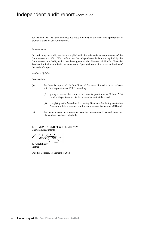We believe that the audit evidence we have obtained is sufficient and appropriate to provide a basis for our audit opinion.

#### *Independence*

In conducting our audit, we have complied with the independence requirements of the Corporations Act 2001. We confirm that the independence declaration required by the Corporations Act 2001, which has been given to the directors of NorCen Financial Services Limited, would be in the same terms if provided to the directors as at the time of this auditor's report.

*Auditor's Opinion* 

In our opinion:

- (a) the financial report of NorCen Financial Services Limited is in accordance with the Corporations Act 2001, including:
	- (i) giving a true and fair view of the financial position as at 30 June 2014 and of its performance for the year ended on that date; and
	- (ii) complying with Australian Accounting Standards (including Australian Accounting Interpretations) and the Corporations Regulations 2001; and
- (b) the financial report also complies with the International Financial Reporting Standards as disclosed in Note 1.

#### **RICHMOND SINNOTT & DELAHUNTY** Chartered Accountants

*l. l. lel*o

**P. P. Delahunty** Partner

Dated at Bendigo, 17 September 2014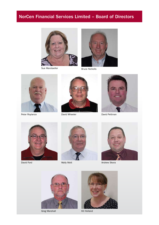## NorCen Financial Services Limited – Board of Directors



Sue Marstaeller



Bruce Nicholls



Peter Roylance



David Wheeler



David Pettman



David Ford



Wally Mott



Andrew Skora



Greg Marshall



Kit Holland